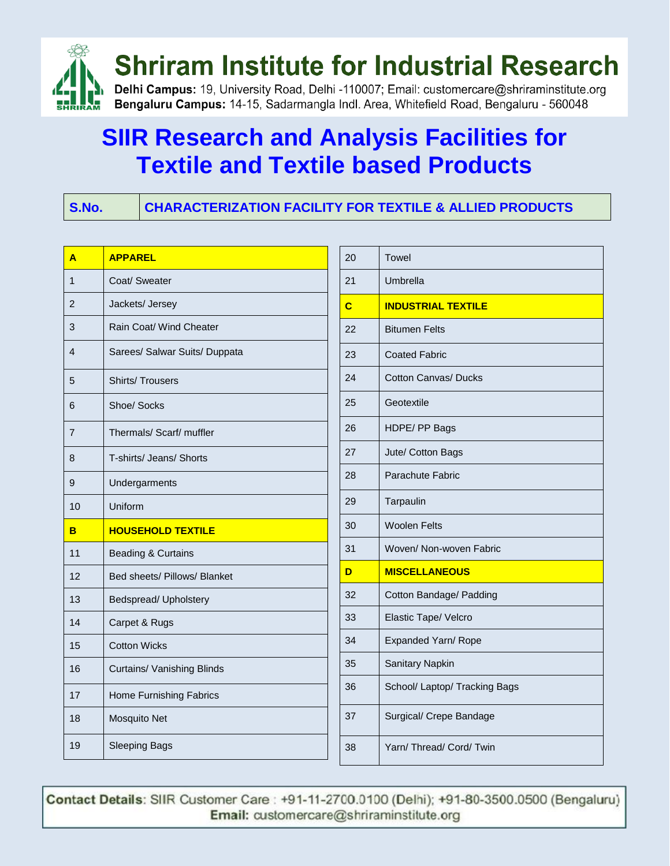

### **SIIR Research and Analysis Facilities for Textile and Textile based Products**

**S.No. CHARACTERIZATION FACILITY FOR TEXTILE & ALLIED PRODUCTS**

| A              | <b>APPAREL</b>                |
|----------------|-------------------------------|
| 1              | Coat/ Sweater                 |
| 2              | Jackets/ Jersey               |
| 3              | Rain Coat/ Wind Cheater       |
| 4              | Sarees/ Salwar Suits/ Duppata |
| 5              | <b>Shirts/Trousers</b>        |
| 6              | Shoe/ Socks                   |
| $\overline{7}$ | Thermals/ Scarf/ muffler      |
| 8              | T-shirts/ Jeans/ Shorts       |
| 9              | Undergarments                 |
| 10             | Uniform                       |
| в              | <b>HOUSEHOLD TEXTILE</b>      |
| 11             | <b>Beading &amp; Curtains</b> |
| 12             | Bed sheets/ Pillows/ Blanket  |
| 13             |                               |
|                | Bedspread/ Upholstery         |
| 14             | Carpet & Rugs                 |
| 15             | <b>Cotton Wicks</b>           |
| 16             | Curtains/ Vanishing Blinds    |
| 17             | Home Furnishing Fabrics       |
| 18             | Mosquito Net                  |

| 20 | Towel                         |
|----|-------------------------------|
| 21 | Umbrella                      |
| C  | <b>INDUSTRIAL TEXTILE</b>     |
| 22 | <b>Bitumen Felts</b>          |
| 23 | <b>Coated Fabric</b>          |
| 24 | <b>Cotton Canvas/ Ducks</b>   |
| 25 | Geotextile                    |
| 26 | HDPE/ PP Bags                 |
| 27 | Jute/ Cotton Bags             |
| 28 | Parachute Fabric              |
| 29 | Tarpaulin                     |
| 30 | <b>Woolen Felts</b>           |
| 31 | Woven/ Non-woven Fabric       |
| D  | <b>MISCELLANEOUS</b>          |
| 32 | Cotton Bandage/ Padding       |
| 33 | Elastic Tape/ Velcro          |
| 34 | Expanded Yarn/ Rope           |
| 35 | Sanitary Napkin               |
| 36 | School/ Laptop/ Tracking Bags |
| 37 | Surgical/ Crepe Bandage       |
| 38 | Yarn/ Thread/ Cord/ Twin      |

Contact Details: SIIR Customer Care: +91-11-2700.0100 (Delhi); +91-80-3500.0500 (Bengaluru) Email: customercare@shriraminstitute.org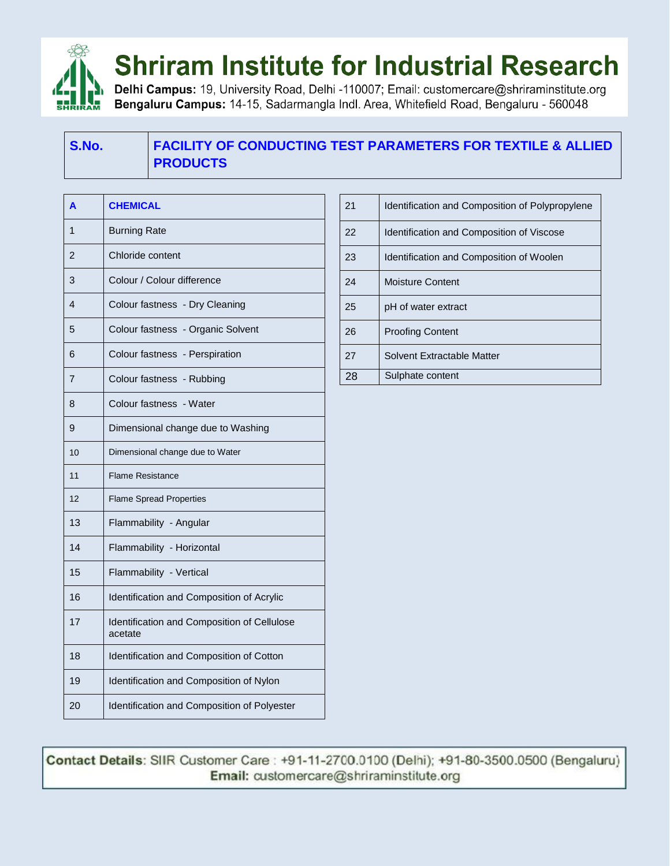

### **Shriram Institute for Industrial Research**

Delhi Campus: 19, University Road, Delhi -110007; Email: customercare@shriraminstitute.org Bengaluru Campus: 14-15, Sadarmangla Indl. Area, Whitefield Road, Bengaluru - 560048

#### **S.No. FACILITY OF CONDUCTING TEST PARAMETERS FOR TEXTILE & ALLIED PRODUCTS**

| A              | <b>CHEMICAL</b>                                        |
|----------------|--------------------------------------------------------|
| 1              | <b>Burning Rate</b>                                    |
| $\overline{2}$ | Chloride content                                       |
| 3              | Colour / Colour difference                             |
| 4              | Colour fastness - Dry Cleaning                         |
| 5              | Colour fastness - Organic Solvent                      |
| 6              | Colour fastness - Perspiration                         |
| $\overline{7}$ | Colour fastness - Rubbing                              |
| 8              | Colour fastness - Water                                |
| 9              | Dimensional change due to Washing                      |
| 10             | Dimensional change due to Water                        |
| 11             | <b>Flame Resistance</b>                                |
| 12             | <b>Flame Spread Properties</b>                         |
| 13             | Flammability - Angular                                 |
| 14             | Flammability - Horizontal                              |
| 15             | Flammability - Vertical                                |
| 16             | Identification and Composition of Acrylic              |
| 17             | Identification and Composition of Cellulose<br>acetate |
| 18             | Identification and Composition of Cotton               |
| 19             | Identification and Composition of Nylon                |
| 20             | Identification and Composition of Polyester            |

| 21 | Identification and Composition of Polypropylene |
|----|-------------------------------------------------|
| 22 | Identification and Composition of Viscose       |
| 23 | Identification and Composition of Woolen        |
| 24 | <b>Moisture Content</b>                         |
| 25 | pH of water extract                             |
| 26 | <b>Proofing Content</b>                         |
| 27 | Solvent Extractable Matter                      |
| 28 | Sulphate content                                |

Contact Details: SIIR Customer Care : +91-11-2700.0100 (Delhi); +91-80-3500.0500 (Bengaluru) Email: customercare@shriraminstitute.org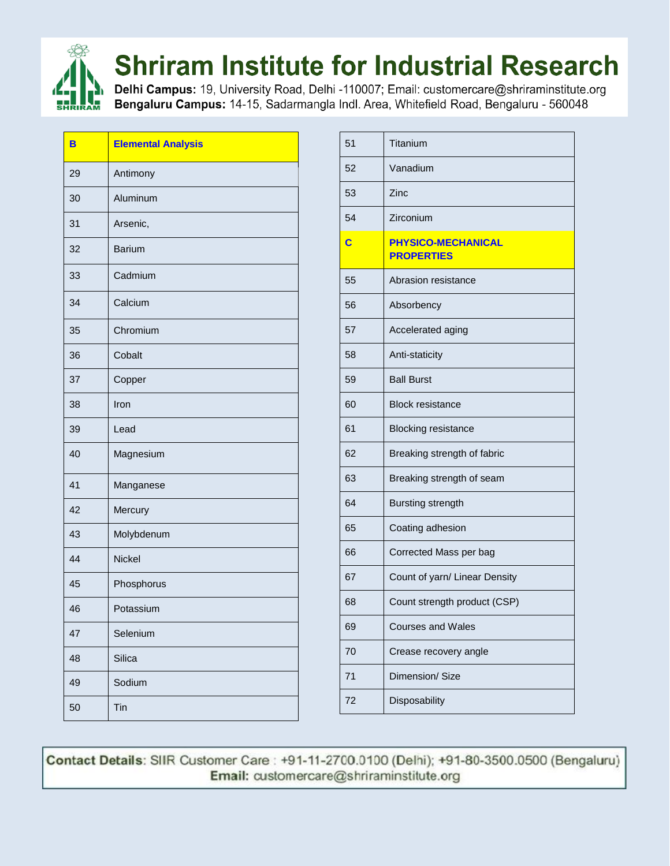

# **Shriram Institute for Industrial Research**

Delhi Campus: 19, University Road, Delhi -110007; Email: customercare@shriraminstitute.org Bengaluru Campus: 14-15, Sadarmangla Indl. Area, Whitefield Road, Bengaluru - 560048

| B  | <b>Elemental Analysis</b> |
|----|---------------------------|
| 29 | Antimony                  |
| 30 | Aluminum                  |
| 31 | Arsenic,                  |
| 32 | <b>Barium</b>             |
| 33 | Cadmium                   |
| 34 | Calcium                   |
| 35 | Chromium                  |
| 36 | Cobalt                    |
| 37 | Copper                    |
| 38 | Iron                      |
| 39 | Lead                      |
| 40 | Magnesium                 |
| 41 | Manganese                 |
| 42 | Mercury                   |
| 43 | Molybdenum                |
| 44 | <b>Nickel</b>             |
| 45 | Phosphorus                |
| 46 | Potassium                 |
| 47 | Selenium                  |
| 48 | Silica                    |
| 49 | Sodium                    |
| 50 | Tin                       |

| 51 | Titanium                                       |
|----|------------------------------------------------|
| 52 | Vanadium                                       |
| 53 | Zinc                                           |
| 54 | Zirconium                                      |
| C  | <b>PHYSICO-MECHANICAL</b><br><b>PROPERTIES</b> |
| 55 | Abrasion resistance                            |
| 56 | Absorbency                                     |
| 57 | Accelerated aging                              |
| 58 | Anti-staticity                                 |
| 59 | <b>Ball Burst</b>                              |
| 60 | <b>Block resistance</b>                        |
| 61 | <b>Blocking resistance</b>                     |
| 62 | Breaking strength of fabric                    |
| 63 | Breaking strength of seam                      |
| 64 | <b>Bursting strength</b>                       |
| 65 | Coating adhesion                               |
| 66 | Corrected Mass per bag                         |
| 67 | Count of yarn/ Linear Density                  |
| 68 | Count strength product (CSP)                   |
| 69 | <b>Courses and Wales</b>                       |
| 70 | Crease recovery angle                          |
| 71 | Dimension/ Size                                |
| 72 | Disposability                                  |

Contact Details: SIIR Customer Care: +91-11-2700.0100 (Delhi); +91-80-3500.0500 (Bengaluru) Email: customercare@shriraminstitute.org